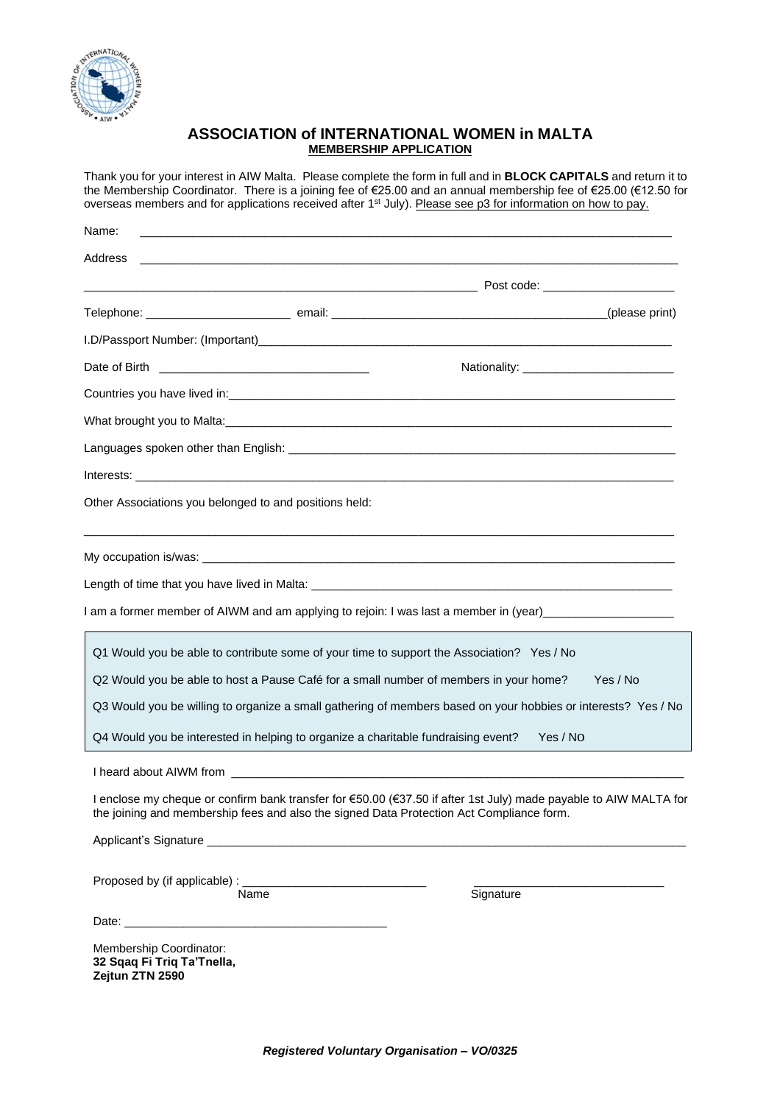

### **ASSOCIATION of INTERNATIONAL WOMEN in MALTA MEMBERSHIP APPLICATION**

Thank you for your interest in AIW Malta. Please complete the form in full and in **BLOCK CAPITALS** and return it to the Membership Coordinator. There is a joining fee of €25.00 and an annual membership fee of €25.00 (€12.50 for overseas members and for applications received after 1<sup>st</sup> July). Please see p3 for information on how to pay.

| Name:                                                                    |                                                                                   |                                                                                                                                                                                                                                |          |
|--------------------------------------------------------------------------|-----------------------------------------------------------------------------------|--------------------------------------------------------------------------------------------------------------------------------------------------------------------------------------------------------------------------------|----------|
| Address                                                                  |                                                                                   |                                                                                                                                                                                                                                |          |
|                                                                          |                                                                                   |                                                                                                                                                                                                                                |          |
|                                                                          |                                                                                   |                                                                                                                                                                                                                                |          |
|                                                                          |                                                                                   |                                                                                                                                                                                                                                |          |
|                                                                          |                                                                                   |                                                                                                                                                                                                                                |          |
|                                                                          |                                                                                   |                                                                                                                                                                                                                                |          |
|                                                                          |                                                                                   | What brought you to Malta: Manual Account of the Contract of the Contract of the Contract of the Contract of the Contract of the Contract of the Contract of the Contract of the Contract of the Contract of the Contract of t |          |
|                                                                          |                                                                                   |                                                                                                                                                                                                                                |          |
|                                                                          |                                                                                   |                                                                                                                                                                                                                                |          |
|                                                                          | Other Associations you belonged to and positions held:                            |                                                                                                                                                                                                                                |          |
|                                                                          |                                                                                   |                                                                                                                                                                                                                                |          |
|                                                                          |                                                                                   |                                                                                                                                                                                                                                |          |
|                                                                          |                                                                                   | I am a former member of AIWM and am applying to rejoin: I was last a member in (year) _______________________                                                                                                                  |          |
|                                                                          |                                                                                   | Q1 Would you be able to contribute some of your time to support the Association? Yes / No                                                                                                                                      |          |
|                                                                          |                                                                                   | Q2 Would you be able to host a Pause Café for a small number of members in your home?                                                                                                                                          | Yes / No |
|                                                                          |                                                                                   | Q3 Would you be willing to organize a small gathering of members based on your hobbies or interests? Yes / No                                                                                                                  |          |
|                                                                          | Q4 Would you be interested in helping to organize a charitable fundraising event? | Yes / No                                                                                                                                                                                                                       |          |
|                                                                          |                                                                                   |                                                                                                                                                                                                                                |          |
|                                                                          |                                                                                   | I enclose my cheque or confirm bank transfer for €50.00 (€37.50 if after 1st July) made payable to AIW MALTA for<br>the joining and membership fees and also the signed Data Protection Act Compliance form.                   |          |
|                                                                          |                                                                                   |                                                                                                                                                                                                                                |          |
|                                                                          | Name                                                                              | Signature                                                                                                                                                                                                                      |          |
| Membership Coordinator:<br>32 Sqaq Fi Triq Ta'Tnella,<br>Zejtun ZTN 2590 |                                                                                   |                                                                                                                                                                                                                                |          |

*Registered Voluntary Organisation – VO/0325*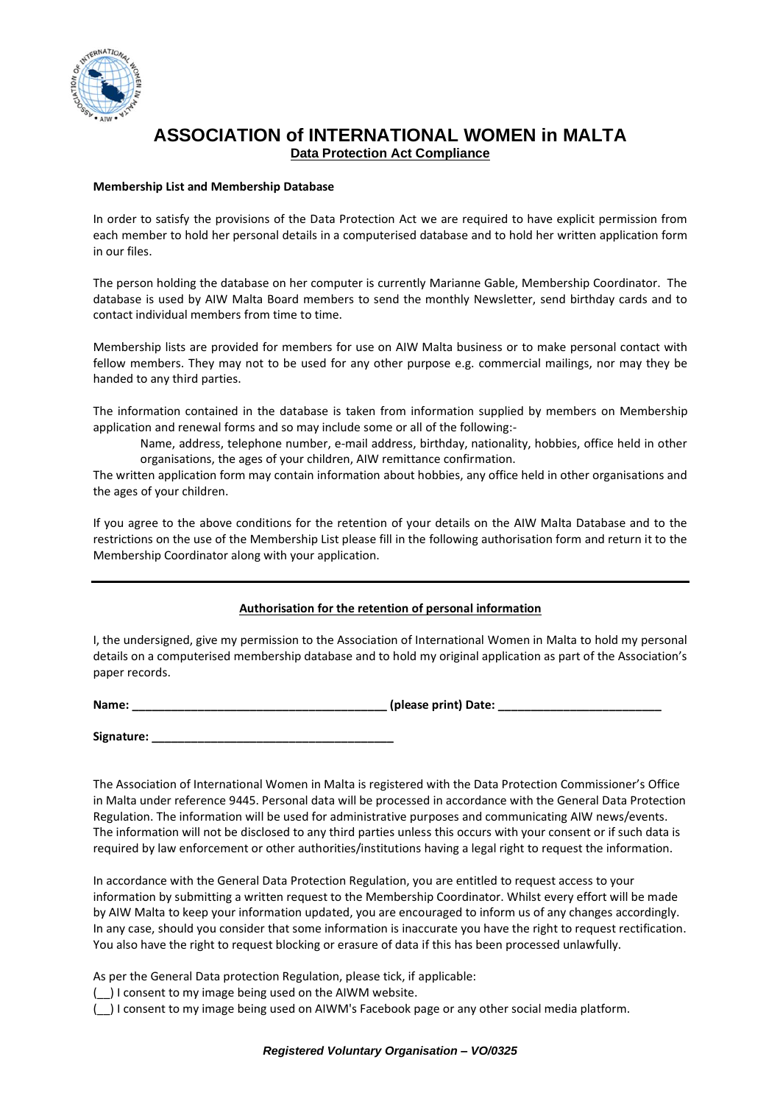

# **ASSOCIATION of INTERNATIONAL WOMEN in MALTA Data Protection Act Compliance**

#### **Membership List and Membership Database**

In order to satisfy the provisions of the Data Protection Act we are required to have explicit permission from each member to hold her personal details in a computerised database and to hold her written application form in our files.

The person holding the database on her computer is currently Marianne Gable, Membership Coordinator. The database is used by AIW Malta Board members to send the monthly Newsletter, send birthday cards and to contact individual members from time to time.

Membership lists are provided for members for use on AIW Malta business or to make personal contact with fellow members. They may not to be used for any other purpose e.g. commercial mailings, nor may they be handed to any third parties.

The information contained in the database is taken from information supplied by members on Membership application and renewal forms and so may include some or all of the following:-

Name, address, telephone number, e-mail address, birthday, nationality, hobbies, office held in other organisations, the ages of your children, AIW remittance confirmation.

The written application form may contain information about hobbies, any office held in other organisations and the ages of your children.

If you agree to the above conditions for the retention of your details on the AIW Malta Database and to the restrictions on the use of the Membership List please fill in the following authorisation form and return it to the Membership Coordinator along with your application.

#### **Authorisation for the retention of personal information**

I, the undersigned, give my permission to the Association of International Women in Malta to hold my personal details on a computerised membership database and to hold my original application as part of the Association's paper records.

**Name: \_\_\_\_\_\_\_\_\_\_\_\_\_\_\_\_\_\_\_\_\_\_\_\_\_\_\_\_\_\_\_\_\_\_\_\_\_\_\_ (please print) Date: \_\_\_\_\_\_\_\_\_\_\_\_\_\_\_\_\_\_\_\_\_\_\_\_\_**

**Signature: \_\_\_\_\_\_\_\_\_\_\_\_\_\_\_\_\_\_\_\_\_\_\_\_\_\_\_\_\_\_\_\_\_\_\_\_\_**

The Association of International Women in Malta is registered with the Data Protection Commissioner's Office in Malta under reference 9445. Personal data will be processed in accordance with the General Data Protection Regulation. The information will be used for administrative purposes and communicating AIW news/events. The information will not be disclosed to any third parties unless this occurs with your consent or if such data is required by law enforcement or other authorities/institutions having a legal right to request the information.

In accordance with the General Data Protection Regulation, you are entitled to request access to your information by submitting a written request to the Membership Coordinator. Whilst every effort will be made by AIW Malta to keep your information updated, you are encouraged to inform us of any changes accordingly. In any case, should you consider that some information is inaccurate you have the right to request rectification. You also have the right to request blocking or erasure of data if this has been processed unlawfully.

As per the General Data protection Regulation, please tick, if applicable:

(\_\_) I consent to my image being used on the AIWM website.

(\_\_) I consent to my image being used on AIWM's Facebook page or any other social media platform.